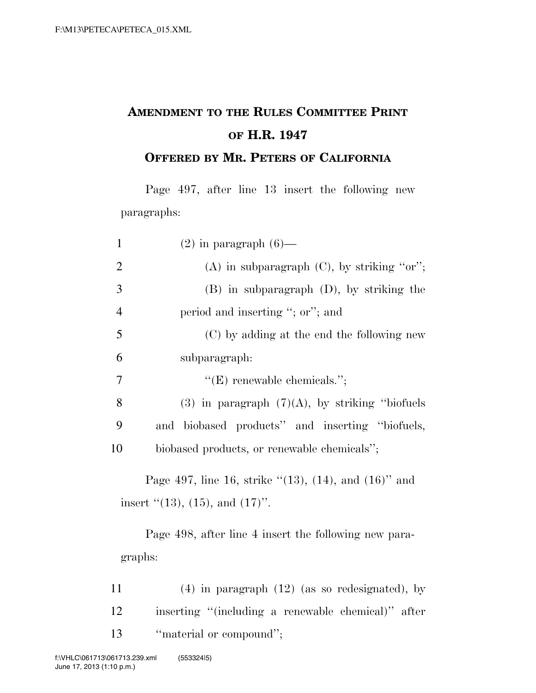## **AMENDMENT TO THE RULES COMMITTEE PRINT OF H.R. 1947**

**OFFERED BY MR. PETERS OF CALIFORNIA**

Page 497, after line 13 insert the following new paragraphs:

| $\mathbf{1}$   | $(2)$ in paragraph $(6)$ —                                     |
|----------------|----------------------------------------------------------------|
| $\overline{2}$ | $(A)$ in subparagraph $(C)$ , by striking "or";                |
| 3              | $(B)$ in subparagraph $(D)$ , by striking the                  |
| $\overline{4}$ | period and inserting "; or"; and                               |
| 5              | (C) by adding at the end the following new                     |
| 6              | subparagraph:                                                  |
| 7              | $"({\rm E})$ renewable chemicals.";                            |
| 8              | $(3)$ in paragraph $(7)(A)$ , by striking "biofuels"           |
| 9              | and biobased products" and inserting "biofuels,                |
| 10             | biobased products, or renewable chemicals";                    |
|                | Page 497, line 16, strike " $(13)$ , $(14)$ , and $(16)$ " and |
|                | insert $\lq(13)$ , $(15)$ , and $(17)$ ".                      |
|                | Page 498, after line 4 insert the following new para-          |
|                | graphs:                                                        |

11 (4) in paragraph (12) (as so redesignated), by 12 inserting ''(including a renewable chemical)'' after 13 "material or compound";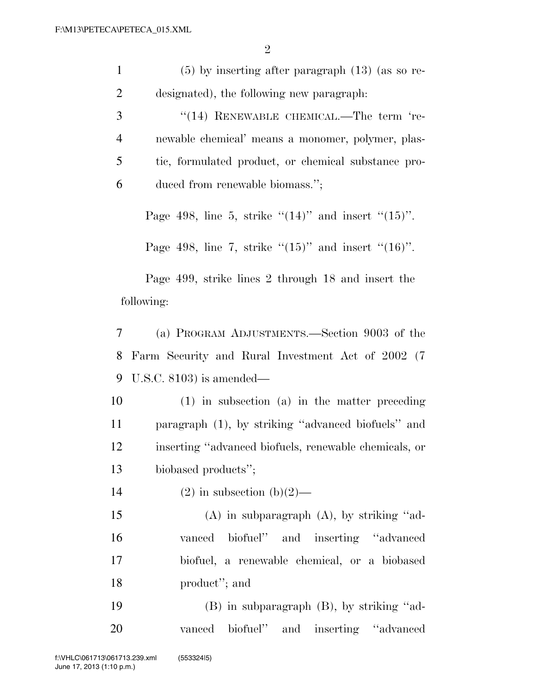| $\mathbf{1}$   | $(5)$ by inserting after paragraph $(13)$ (as so re-       |  |
|----------------|------------------------------------------------------------|--|
| $\overline{c}$ | designated), the following new paragraph:                  |  |
| 3              | "(14) RENEWABLE CHEMICAL.—The term 're-                    |  |
| $\overline{4}$ | newable chemical' means a monomer, polymer, plas-          |  |
| 5              | tic, formulated product, or chemical substance pro-        |  |
| 6              | duced from renewable biomass.";                            |  |
|                | Page 498, line 5, strike " $(14)$ " and insert " $(15)$ ". |  |
|                | Page 498, line 7, strike " $(15)$ " and insert " $(16)$ ". |  |
|                | Page 499, strike lines 2 through 18 and insert the         |  |
| following:     |                                                            |  |
| 7              | (a) PROGRAM ADJUSTMENTS.—Section 9003 of the               |  |
| 8              | Farm Security and Rural Investment Act of 2002 (7)         |  |
| 9              | U.S.C. $8103$ ) is amended—                                |  |
| 10             | $(1)$ in subsection $(a)$ in the matter preceding          |  |
| 11             | paragraph (1), by striking "advanced biofuels" and         |  |
| 12             | inserting "advanced biofuels, renewable chemicals, or      |  |
| 13             | biobased products";                                        |  |
| 14             | $(2)$ in subsection $(b)(2)$ —                             |  |
| 15             | $(A)$ in subparagraph $(A)$ , by striking "ad-             |  |
| 16             | biofuel" and inserting "advanced"<br>vanced                |  |
| 17             | biofuel, a renewable chemical, or a biobased               |  |
| 18             | product"; and                                              |  |
| 19             | (B) in subparagraph (B), by striking "ad-                  |  |
| 20             | biofuel" and inserting "advanced"<br>vanced                |  |